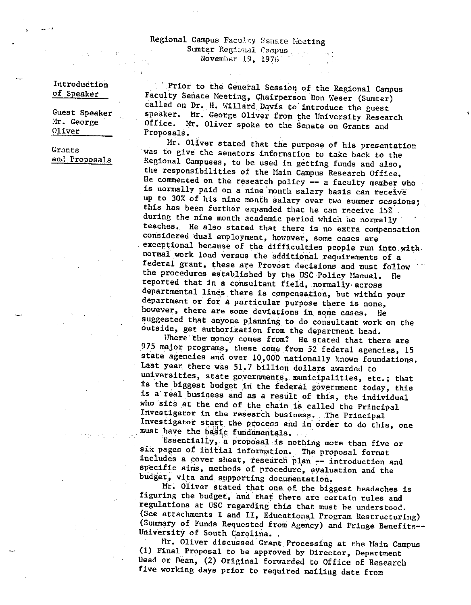## Regional Campus Facuity Senate Heeting **Sumter Regional Campus** November 19, 1976

Introduction of Speaker

-···

Guest Speaker Hr. George Oliver

Grants and Proposals

Prior to the General Session of the Regional Campus Faculty Senate Meeting, Chairperson Don Weser (Sumter) called on Dr. Ii. Willard Davis to introduce the guest speaker. Mr. George Oliver from the University Research Office. Mr. Oliver spoke to the Senate on Grants and Proposals.

Mr. Oliver stated that the purpose of his presentation was to give the senators information to take back to the Regional Campuses, to be used in getting funds and also, the responsibilities of the Main Campus Research Office. He commented on the research policy -- a faculty member who is normally paid on a nine month salary basis can receive up to 30% of his nine month salary over two summer sessions; this has been further expanded that he can receive 15%. during the nine month academic period which he normally teaches. He also stated that there is no extra compensation considered dual employment, however, some cases are exceptional because of the difficulties people run into.with. normal work load versus the additional requirements of a. federal grant, these. are Provost decisions and must follow the procedures established by the USC Policy Manual. He reported that in a consultant field, normally across departmental lines there is compensation, but within your department or for a particular purpose there is none, however, there are some deviations in some cases. He suggested that anyone planning to do consultant work on the outside, get authorization from the department head.

Where the money comes from? He stated that there are <sup>975</sup>major programs, these come from 52 federal agencies, <sup>15</sup> state agencies and over 10,000 nationally known foundations. Last year there was 51,7 billion dollars awarded to universities, state governments, municipalities, etc.; that is the biggest budget in the federal government today, this is a real business and as a result of this, the individual who sits at the end of the chain is called the Principal Investigator in the research business. The Principal Investigator start the process and in order to do this, one must have the basic fundamentals.

Essentially, a proposal is nothing more than five or six pages of initial information. The proposal format includes a cover sheet, research plan -- introduction and specific aims, methods of procedure, evaluation and the budget, vita and supporting documentation.

Mr, Oliver stated that one of. the biggest headaches is figuring the budget, and that there are certain rules and regulations at USC regarding this that must be understood. (See attachments I and II, Educational Program Restructuring) (Summary of Funds Requested from Agency) and Fringe Benefits-- University of South Carolina.

Mr. Oliver discussed Grant Processing at the Main Campus (1) Final Proposal to be approved by Director, Department Head or Dean, (2) Original forwarded to Office of Research five working days prior to required mailing date from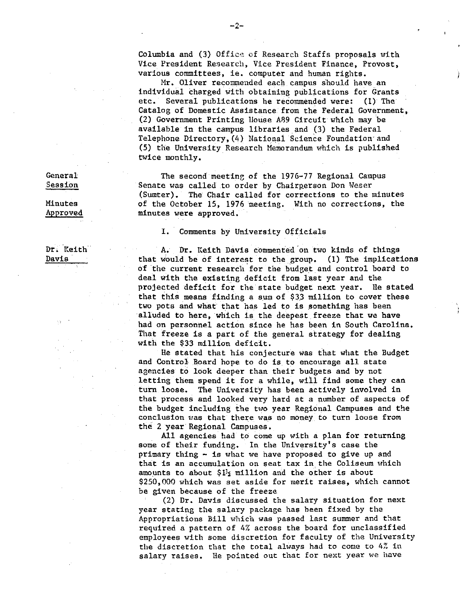Columbia and (3) Office of Research Staffs proposals with Vice President Research, Vice President Finance, Provost, various committees, ie, computer and human rights.

Mr. Oliver recommended each campus should have an individual charged with obtaining publications for Grants etc, Several publications he recommended were: (1) The Catalog of Domestic Assistance from the Federal Government, (2) Government Printing House A89 Circuit which may be available in the campus libraries and (3) the Federal Telephone Directory,(4) National Science Foundation·and (5) the University Research Memorandum which is published twice monthly,

The second meetinr, of the 1976-77 Regional Campus Senate was called to order by Chairperson Don Weser (Sumter). The Chair called for corrections to the minutes of the October 15, 1976 meeting, With no corrections, the minutes were approved,

### I. Comments by University Officials

A. Dr, Keith Davis commented'on two kinds of things that would be of interest to the group. (1) The implications of the current research for the budget and control board to deal With the existing deficit from last year and the projected deficit for the state budget next year, Ue stated that this means finding a sum of  $$33$  million to cover these two pots and what that has led to is something has been alluded to here, which is the deepest freeze that we have had on personnel action since he has been in South Carolina, That freeze is a part of the general strategy for dealing with the \$33 million deficit.

He stated that his conjecture was that what the Budget and Control Board hope to do is to encourage all state agencies to look deeper than their budgets and by not letting them spend it for a while, will find some they can turn loose. The University has been actively involved in that process and looked very hard at a number of aspects of the budget including the two year Regional Campuses and the conclusion was that there was no money to turn loose from the 2 year Regional Campuses,

All agencies had to come up with a plan for returning some of their funding. In the University's case the primary thing - is what we have proposed to give up and that is an accumulation on seat tax in. the Coliseum which amounts to about  $1\frac{1}{2}$  million and the other is about \$250,000 which was set aside for merit raises, which cannot be given because of the freeze

(2) Dr, Davis discussed the salary situation for next year stating the salary package has been fixed by the Appropriations Bill which was passed last summer and that required a pattern of 4% across the board for unclassified employees with some discretion for faculty of the University the discretion that the total always had to come to  $4\%$  in salary raises. He pointed out that for next year we have

General Session

Minutes Approved

Dr, Keith Davis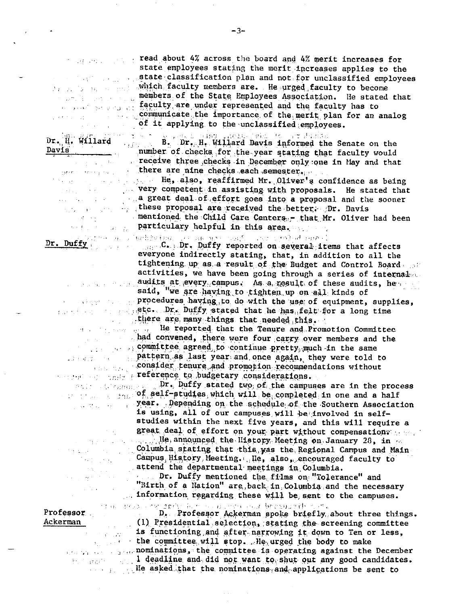ad in province

 $Dr. Duffy$ Carlo Papa Contracta L

 $\mu$  ,  $\eta$  ,  $\eta$  ,  $\eta$ 

 $\sim \lambda_{\rm L}$ 

 $\alpha$  and  $\beta$  and  $\beta$  . In  $\mathcal{L}(\mathcal{A},\mathcal{C})$  ,  $\mathcal{L}(\mathcal{C})$  $\hat{\mathcal{A}}$  $\{ \chi_{\rm{max}} \}_{\rm{max}}$ 

 $\sim 10$ 

 $\Delta \sim 10^{-11}$ 

Professor Ackerman

 $\frac{1}{2}$  ,  $\frac{1}{2}$ D. Professor Ackerman spoke briefly about three things. (1) Presidential selection, stating the screening committee ing awali is functioning and after narrowing it down to Ten or less, the committee will stop. He urged the body to make many and manufactors, the committee is operating against the December and it deadline and did not want to shut out any good candidates. He asked that the nominations and applications be sent to

read about 4% across the board and 4% merit increases for state employees stating the merit increases applies to the state classification plan and not for unclassified employees which faculty members are. He urged faculty to become members of the State Employees Association. He stated that state of the faculty are under represented and the faculty has to communicate the importance of the merit plan for an analog of it applying to the unclassified employees.

Dr. H. Willard B. Dr. H. Willard Davis informed the B. Dr. H. Willard Davis informed the Senate on the Davis number of checks for the year stating that faculty would receive three checks in December only one in May and that there are nine checks each semester.

He, also, reaffirmed Mr. Oliver's confidence as being very competent in assisting with proposals. He stated that<br>a great deal of effort one into  $\overline{a}$ these proposal are received the better. Dr. Davis mentioned the Child Care Centers, - that Mr. Oliver had been and the same particulary helpful in this area.

ATOM ALL ISONEV (DV) OF THE MICHAEL CONTROL ONE OF CHINA CHANNEL C. Dr. Duffy reported on several items that affects everyone indirectly stating, that, in addition to all the tightening up as a result of the Budget and Control Board and activities, we have been going through a series of internalme audits at every campus. As a result of these audits, he said, "we are having to tighten up on all kinds of procedures having to do with the use of equipment, supplies, etc. Dr. Duffy stated that he has felt for a long time there are many things that needed this.

He reported that the Tenure and Promotion Committee had convened, there were four carry over members and the committee agreed to continue pretty much in the same pattern as last year and once again, they were told to consider tenure and promotion recommendations without weither the senior reference to budgetary considerations.

sale the process Dr. Duffy stated two of the campuses are in the process  $\frac{1}{2}$  of self-studies, which will be completed in one and a half year. Depending on the schedule of the Southern Association is using, all of our campuses will be involved in selfstudies within the next five years, and this will require a great deal of effort on your part without compensations and and the state of the mounted the History. Meeting on January 28, in an Columbia stating that this was the Regional Campus and Main Campus History Meeting. He, also, encouraged faculty to attend the departmental meetings in Columbia.

Dr. Duffy mentioned the trims on interessing mediation.<br>"Birth of a Nation" are back in Columbia and the necessary information regarding these will be sent to the campuses.

of an interest of the digity of the company of the second of the cost of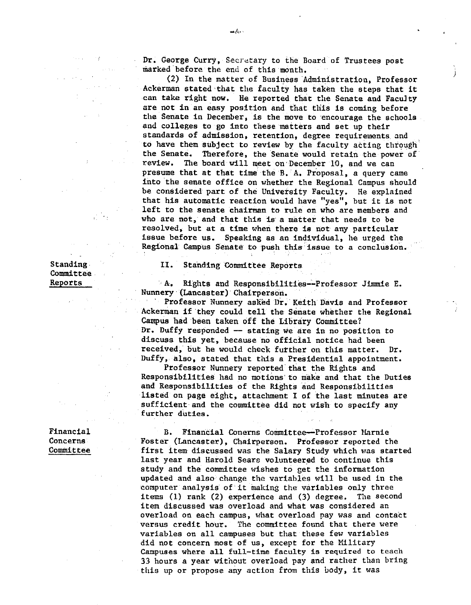Dr. George Curry, Secretary to the Board of Trustees post marked before the end of this month.

*)* 

(2) In the matter of Business Administration, Professor Ackerman stated·that the faculty has taken the steps that it can take right now, He reported that the Senate and Faculty are not in an easy position and that this is coming before the Senate in December, is the move to encourage the schools and colleges to go into these matters and set up their standards of admission, retention, degree requirements and to have them subject to review by the faculty acting through· the Senate. Therefore, the Senate would retain the power of review. The board will meet on·December 10, and we can presume that at that time the B. A. Proposal, a query came into the senate office on whether the Regional Campus should be considered part of the University Faculty. He explained that his automatic reaction would have "yes", but it is not left to the senate chairman to rule on who are members and who are not, and that this is a matter that needs to be resolved, but at a time when there is not any particular issue before us. Speaking as an individual, he urged the Regional Campus Senate to push this issue to a conclusion.

II. Standing Committee Reports

'A. Rights and Responsibilities--Professor Jimmie E. Nunnery (Lancaster) Chairperson.

Professor Nunnery asked Dr. Keith Davis and Professor Ackerman if they could tell the Senate whether the Regional Campus had been taken off the Library Committee? Dr. Duffy responded -- stating we are in no position to discuss this yet, because no official notice had been received, but he would check further on this matter. Dr. Duffy, also, stated that this a Presidential appointment.

Professor Nunnery reported that the Rights and Responsibilities had no motions·to make and that the Duties and Responsibilities of the Rights and Responsibilities listed on page eight, attachment I of the last minutes are sufficient and the committee did not wish to specify any further duties.

B, Financial Conerns Committee-Professor Marnie Foster (Lancaster), Chairperson. Professor reported the first item discussed was the Salary Study which was started last year and Harold Sears volunteered to continue this study and the committee wishes to get the information updated and also change the variables will be used in the computer analysis· of it making the variables only three items (1) rank (2) experience and (3) degree. The second item discussed was overload and what was considered an overload on each campus, what overload pay was and contact versus credit hour, The committee found that there were variables on all campuses but that these few variables did not concern most of us, except for the Military Campuses where all full-time faculty is required to teach 33 hours a year without overload pay and rather than bring this up or propose any action from this body, it was

Standing. Committee Reports

Financial **Concerns** Committee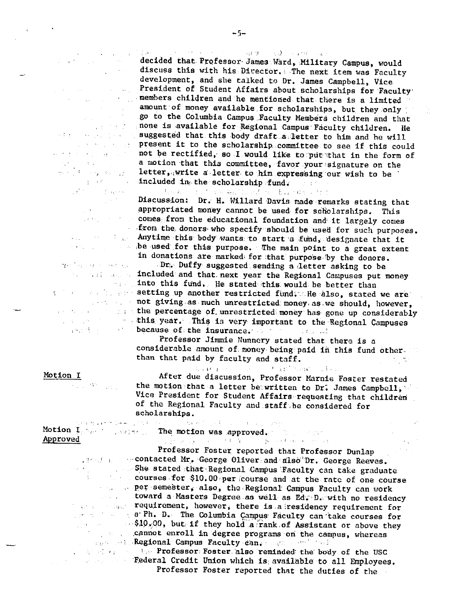decided that. Professor James Ward, Military Campus, would discuss this with his Director. The next item was Faculty development, and she talked to Dr, James Campbell, Vice President of Student Affairs about scholarships for Faculty members children and he mentioned that there is a limited amount of money available for scholarships, but they only go to the Columbia Campus .Faculty Members children and that none is available for Regional Campus Faculty children. He suggested that this body draft a letter to him and he will present it to the scholarship. committee to see if this could not be rectified, so I would like to put that in the form of a motion that this committee, favor your signature on the letter, write a letter to him expressing our wish to be included in, the scholarship fund, where  $\frac{1}{2}$ op in

Discussion: Dr. H. Willard Davis made remarks stating that appropriated money cannot be used for scholarships. This comes from the educational foundation and it largely comes  $\ldots$  from the donors who specify should be used for such purposes. Anytime this body wants to start a fund, designate that it ,be used for this purpose, The main point to a great extent in donations are marked for that purpose by the donors.

. Dr;, Duffy suggested sending <sup>a</sup>,letter asking to be included and that next year the Regional Campuses put money into this fund. He stated this would be better than setting up another restricted fund, He also, stated we are not giving as much unrestricted money as we should, however, the percentage of unreatricted money as we should, however,<br>this year. This is very important to the Pecical Computer  $\blacksquare$  this year. This is very important to the Regional Campuses because of the insurance, which is a contract of

Professor Jimmie Nunnery stated that there is <sup>a</sup> considerable amount of money being paid in this fund other. than that paid by faculty and staff.  $\mathcal{L}_{\rm{max}}$  , and  $\mathcal{L}_{\rm{max}}$ 

and the first maps of the

 $\sim$  .

After due discussion, Professor Marnie Foster restated the motion that a letter be written to Dr. James Campbell, Vice President for Student Affairs· requesting that children of the Regional Faculty and.staff.be considered for scholarships.

Motion  $\mathbf{I}_{\mathbb{C}^{N_{\mathbb{C}^{n-1}}}}$  . When  $\mathbb{C}$ Approved

 $\sim 1000$  ,  $\sim 1000$  ,  $\sim 1000$  ,  $\sim 1000$ The motion was approved,

, 'lj I

 $\frac{1}{2}$  to  $\infty$  . Professor Foster reported that Professor Dunlap -!, I • .. contacted **Mr.,** George Oliver, and alsi>'''Dr, George Reeves, She stated that Regional Campus Faculty can take graduate courses for  $$10,00$  per course and at the rate of one course per-semester, also, the Regional Campus Faculty can work toward a Masters Degree as well as Ed,"· D,. with no residency  $\mathcal{A}^{\text{in}}$  is a set of  $\mathcal{A}^{\text{in}}$  $\cdot$  requirement, however, there is a residency requirement for a· Ph, D. The Columbia Campus, Faculty can ·take courses for  $\sim $10,00$ , but if they hold a rank of Assistant or above they ,c1mnot enroll in degree programs ori the campus, whereas , and the Regional Campus Faculty can, and well well

, and the state of the Professor, Foster also reminded the body of the USC Federal Credit Union which is available to all Employees. Professor Foster reported that the duties of the

 $\mathbb{E}[\mathfrak{S}^1] = \mathbb{E}[\mathfrak{S}^1] = \mathbb{E}[\mathfrak{S}^1] = \mathbb{E}[\mathfrak{S}^1] = \mathbb{E}[\mathfrak{S}^1] = \mathbb{E}[\mathfrak{S}^1] = \mathbb{E}[\mathfrak{S}^1] = \mathbb{E}[\mathfrak{S}^1] = \mathbb{E}[\mathfrak{S}^1] = \mathbb{E}[\mathfrak{S}^1] = \mathbb{E}[\mathfrak{S}^1] = \mathbb{E}[\mathfrak{S}^1] = \mathbb{E}[\mathfrak{S}^1]$ 

### Motion I

 $\sim 10^{10}$  and

's in additional special

 $\sim 2.4\times 10^4$ 

2010年10月20日 4月24日

 $\Delta \Delta \phi$ 

 $\sim 10^{11}$  and  $\sim 10^{11}$  and  $\sim 10^{11}$  and  $\sim 10^{11}$ 

 $\label{eq:2} \mathcal{L} = \mathcal{L} \left( \mathcal{L} \right) \mathcal{L} \left( \mathcal{L} \right) \mathcal{L} \left( \mathcal{L} \right)$ 医刺激的 网络复数医家庭医院  $\Delta \sim 30$  , the second state  $\Delta \sim 10^{11}$ 

 $\mathbb{E}[\mathbf{q}]=\mathbf{q}(\mathcal{R})$  . The set of  $\mathbf{q}$ 

 $\label{eq:2} \frac{1}{\sqrt{2}}\frac{d\mathbf{r}}{d\mathbf{r}}\left(\frac{d\mathbf{r}}{d\mathbf{r}}\right)=0.$ 

 $\mathcal{F}^{(n)}$  . Further

 $\mathcal{A}^{\mathcal{A}}$  and  $\mathcal{A}^{\mathcal{A}}$  and  $\mathcal{A}^{\mathcal{A}}$  and  $\mathcal{A}^{\mathcal{A}}$ 

 $\label{eq:2.1} \mathcal{L}^{\mathcal{L}}(\mathcal{F}) = \mathcal{L}^{\mathcal{L}}(\mathcal{F}) = \mathcal{L}^{\mathcal{L}}(\mathcal{F}) = \mathcal{L}^{\mathcal{L}}(\mathcal{F}) = \mathcal{L}^{\mathcal{L}}(\mathcal{F})$  $\mathcal{N}(\mathcal{F}^{\mathcal{G}}_{\mathcal{F}})$  . When  $\mathcal{F}^{\mathcal{G}}_{\mathcal{F}}$  and  $\mathcal{F}^{\mathcal{G}}_{\mathcal{F}}$ in 1970<br>Medicine Service Bandari (1970)

 $\frac{1}{2}$  , and

''.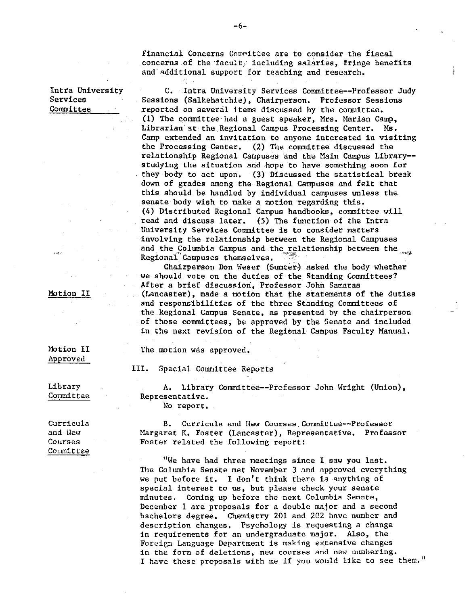Financial Concerns Committee are to consider the fiscal concerns of the faculty including salaries. fringe benefits and additional support for teaching and research,

Intra University Services Committee

C. Intra University Services Committee--Professor Judy Sessions (Salkehatchie), Chairperson, Professor Sessions reported on several items discussed by the committee. (1) The committee had a guest speaker, Mrs, Marian Camp, Librarian at the Regional Campus Processing Center. Ms. Camp extended an invitation to anyone interested in visiting the Processing Center, (2) The committee discussed the relationship Regional Campuses and the Main Campus Library-studying the situation and hope to have something soon for they body to act upon, (3) Discussed the statistical break down of grades among the Regional Campuses and felt that this should be handled by individual campuses unless the senate body wish to make a motion regarding this, (4) Distributed Regional Campus handbooks, committee will read and discuss later, (5) The function of the Intra University Services Committee is to consider matters involving the relationship between the Regional Campuses and the Columbia Campus and the relationship between the *,,queen* Regional Campuses themselves. (*c*) ... asked the body whether chairperson Don Weser (Sumter) asked the body whether

we should vote on the duties of the Standing Committees? After a brief discussion, Professor John Samaras (Lancaster), made a motion that the statements of the duties and responsibilities of the three Standing Committees of the Regional Campus Senate, as presented by the chairperson of those committees, be approved by the Senate and included in the next revision of the Regional Campus Faculty Manual,

The motion was approved,

Motion II Approved

Motion II

III. Special Committee Reports

Library Committee

A. Library Committee--Professor John Wright (Union), Representative. No report,

Curricula and llew **Courses**  Comnittee

B. Curricula and Hew Courses Committee--Professor Margaret K, Foster (Lancaster), Representative, Professor Foster related the following report:

"We have had three meetings since I saw you last. The Columbia Senate met November 3 and approved everything we put before it, I don't think there is anything of special interest to us, but please check your senate minutes. Coming up before the next Columbia Senate, December 1 are proposals for a double major and a second bachelors degree, Chenistry 201 and 202 have number and description changes, Psychology is requesting a change in requirements for an undergraduate major. Also, the Foreign Language Department is making extensive changes **in the form of deletions, new courses and new numbering.**  I have these proposals with me if you would like to see them."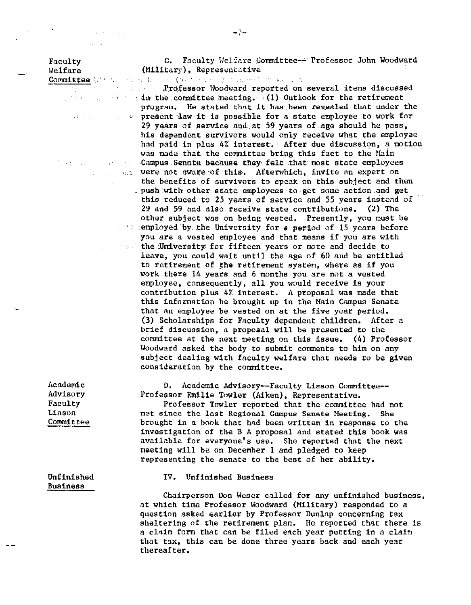Faculty Welfare

·-

C. Faculty Welfare Committee--· Professor John Woodward (Military), Representative

Committee With Sector Delay (32)

 $\sim 10^7$ 

**Example 2018** 2019 Professor Woodward reported on several items discussed  $i$  in the in, the committee meeting.  $\mathbb{E}(1)$  Outlook for the retirement program. He stated that it, has been revealed that under the present law it is possible for a state employee to work for 29 years of service and at 59 years of age should he pass, his dependent survivors would only receive what the employee had paid in plus 4% interest. After due discussion, a motion was made that the committee bring this fact to the Main *•campus Senate because they felt that most state employees* were not aware of this. Afterwhich, invite an expert on the benefits of survivors to speak on this subject and then . push with other state employees to get some action and get  $\cdot$ this reduced to 25 years of service and 55 years instead of 29 and 59 and also receive state contributions. (2) The other subject was on being vested. Presently, you must be  $\therefore$  : employed by, the University for  $\theta$  period of 15 years before you are a vested employee and that means if you are with the University for fifteen years or more and decide to leave, you could wait until the age of 60 and be entitled to retirement of the retirement system, where as if you work there 14 years and 6 months you are not a vested employee, consequently, all you would receive is your contribution plus 4% interest. A proposal was made that this information be brought up in the Main Campus Senate that an employee be vested on at the five year period. (3) Scholarships for Faculty dependent children. After a brief discussion, a proposal will be presented to the committee at the next meeting on this issue. (4) Professor Woodward asked the body to submit comments to him on any subject dealing with faculty welfare that needs to be given consideration by the committee.

> D. Academic Advisory--Faculty Liason Committee-- Professor Emilie Towler (Aiken), Representative.

Professor Towler reported that the committee had not met since the last Regional Campus Senate Meeting. She brought in a book that had been written in response to the investigation of the BA proposal and stated this book was available for everyone's use. She reported that the next meeting will be on December land pledged to keep representing the senate to the best of her ability.

Unfinished Business

Academic Advisory Faculty Liason Committee

## IV. Unfinished Business

Chairperson Don Weser called for any unfinished business, at which time Professor Woodward (Military) responded to a question asked earlier by Professor Dunlap concerning tax sheltering of the retirement plan. He reported that there is a claim form that can be filed each year putting in a claim that tax, this can be done three years back and each year thereafter.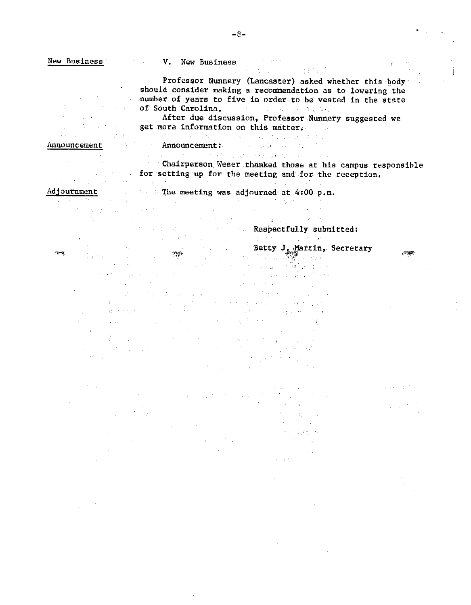New Business Mew Business Communications of Mew Business  $75 - 10^{-2}$ a masar<br>Anggota ng Kabupatèn Kabupatèn Kabupatèn Kabupatèn Kabupatèn Kabupatèn Kabupatèn Kabupatèn Kabupatèn Kabupatèn Professor Nunnery (Lancaster) asked whether this body (1)  $\mathcal{A}_{\text{max}}$  ,  $\mathcal{A}_{\text{max}}$ should consider making a recommendation as to lowering the number of years to five in order to be vested in the state of South Carolina.<br>After due discussion, Professor Nunner<br>get more information on this matter.  $\label{eq:2.1} \nabla_{\theta} \left( \left[ \begin{array}{cc} \hat{a} & \hat{b} \\ \hat{b} & \hat{c} \end{array} \right] \right) = \left[ \begin{array}{cc} \hat{a} & \hat{b} \\ \hat{b} & \hat{c} \end{array} \right]$ After due discussion, Professor Nunnery suggested we  $\mathcal{O}(\mathcal{O}(\log n))$  , and  $\mathcal{O}(\log n)$  , and  $\mathcal{O}(\log n)$ security of the company of the company of the company Announcement Announcement: Announcement: Chairperson Weser thanked those at his campus responsible for setting up for the meeting and for the reception. 2010年1月11日 ្រុម (Contact of Language Contact) ដែលក្រុម (Contact of Language Contact) Adjournment **Example 2. The meeting was adjourned at 4:00 p.m.**  $\mathcal{L}^{\mathcal{A}}(\mathcal{A},\mathcal{A})=\mathcal{L}^{\mathcal{A}}(\mathcal{A},\mathcal{A})$  , where  $\mathcal{L}^{\mathcal{A}}(\mathcal{A},\mathcal{A})$  is a subset of  $\mathcal{A}^{\mathcal{A}}(\mathcal{A},\mathcal{A})$  $\Delta \phi = 0.01$  ,  $\Delta \phi = 0.01$ **Example 2018**<br>**Respectfully submitted:** A Car  $\mathcal{F}^{\mathcal{E}}_{\text{cav}}$  . Betty J. Martin, Secretary ÷,  $\sim 10^{-1}$  $\sim$  1  $^{-1}$  $\langle \gamma_{\rm s}, \gamma_{\rm s}, \gamma_{\rm s} \rangle$ antar a contra contra la contrada del monte.<br>La contra contra la contra del monte del monte.  $\mathbf{v}=(\mathbf{v}_1,\mathbf{v}_2,\mathbf{v}_3)$  , where  $\mathbf{v}_1$ 

 $\mathcal{L}_{\mathcal{A}}(\mathbf{z})$  , we have a set of

 $\mathcal{L}(\mathcal{L}(\mathcal{L}))=\mathcal{L}(\mathcal{L}(\mathcal{L}(\mathcal{L})))$ at parties in the common terms of the second product to<br>The common second product of the product of the second product of the second product of the second product of<br>The common second product of the common second product o  $\alpha = 1/\sqrt{2}$  $\mathcal{A}(\mathcal{L})$  , where  $\mathcal{L}(\mathcal{L})$ Report Follows  $\mathcal{L}_{\rm{max}}$  and **这个人都是一个人的人。**  $\mathcal{L}^{\text{max}}_{\text{max}}$  , where  $\mathcal{L}^{\text{max}}_{\text{max}}$  $\mathcal{F}^{\mathcal{A}}_{\mathcal{A}}$  and  $\mathcal{F}^{\mathcal{A}}_{\mathcal{A}}$  are the set of the set of  $\mathcal{F}^{\mathcal{A}}_{\mathcal{A}}$  $\sim 32$  ,  $\sim 10^{-1}$  ,  $\sim 200$  $\mathcal{L}^{\mathcal{L}}(\mathcal{L}^{\mathcal{L}})$  and  $\mathcal{L}^{\mathcal{L}}(\mathcal{L}^{\mathcal{L}})$ and the first process of the state of  $\label{eq:2.1} \begin{split} \mathcal{L}_{\text{max}}(\mathbf{r},\mathbf{r}) = \mathcal{L}_{\text{max}}(\mathbf{r},\mathbf{r}) \mathcal{L}_{\text{max}}(\mathbf{r},\mathbf{r}) \\ = \mathcal{L}_{\text{max}}(\mathbf{r},\mathbf{r}) = \mathcal{L}_{\text{max}}(\mathbf{r},\mathbf{r}) \mathcal{L}_{\text{max}}(\mathbf{r},\mathbf{r}) \mathcal{L}_{\text{max}}(\mathbf{r},\mathbf{r}) \mathcal{L}_{\text{max}}(\mathbf{r},\mathbf{r}) \mathcal{L}_{\text{max}}(\mathbf{r},\$  $\label{eq:3.1} \mathcal{L}(\mathbf{y},\mathbf{y}) = \mathcal{L}(\mathbf{y},\mathbf{y}) + \mathcal{L}(\mathbf{y},\mathbf{y})$ 

 $\sim 10^{11}$  km  $^{-1}$ 

 $\sigma$  and  $\sigma$  are also as  $\sigma$  . Then

 $\sigma$  ,  $\sigma$  ,  $\sigma$  ,  $\sigma$ and the same of State Straight  $\Delta \sim 1$  $\lambda$  , and  $\lambda$  is given by  $\lambda$ 

 $\sim 10^4$ 

 $\gamma_{\rm{max}} = 3000$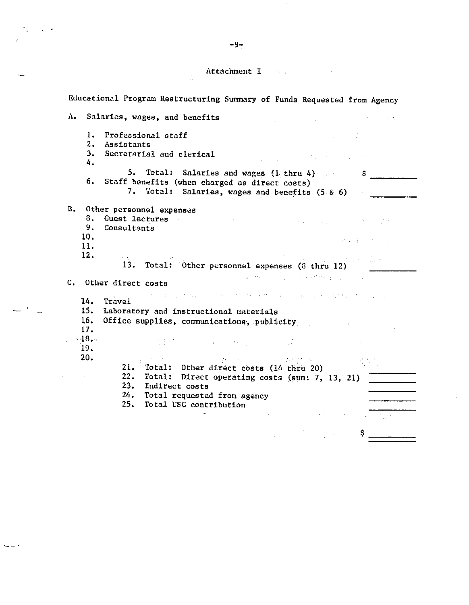# Attachment I and I also have a series of  $\mathbf I$

 $\bar{\gamma}$ 

|                   | Educational Program Restructuring Summary of Funds Requested from Agency                                                                                                                               |                                                                                                                                                                                                                                                                                                                                                                                                                                                        |                                                                                                                                                                                                                                                                                                                                                                                                                                                           |                                          |
|-------------------|--------------------------------------------------------------------------------------------------------------------------------------------------------------------------------------------------------|--------------------------------------------------------------------------------------------------------------------------------------------------------------------------------------------------------------------------------------------------------------------------------------------------------------------------------------------------------------------------------------------------------------------------------------------------------|-----------------------------------------------------------------------------------------------------------------------------------------------------------------------------------------------------------------------------------------------------------------------------------------------------------------------------------------------------------------------------------------------------------------------------------------------------------|------------------------------------------|
| Λ.                | Salaries, wages, and benefits                                                                                                                                                                          |                                                                                                                                                                                                                                                                                                                                                                                                                                                        |                                                                                                                                                                                                                                                                                                                                                                                                                                                           |                                          |
| 1.<br>2.          | Professional staff<br>Assistants                                                                                                                                                                       |                                                                                                                                                                                                                                                                                                                                                                                                                                                        |                                                                                                                                                                                                                                                                                                                                                                                                                                                           |                                          |
| 3.<br>4.          | Secretarial and clerical                                                                                                                                                                               |                                                                                                                                                                                                                                                                                                                                                                                                                                                        | $\mathcal{L}^{\mathcal{L}}$ , and the contract $\mathcal{L}^{\mathcal{L}}_{\mathcal{L}}$                                                                                                                                                                                                                                                                                                                                                                  |                                          |
| 6.                | 5. Total: Salaries and wages (1 thru 4)<br>Staff benefits (when charged as direct costs)<br>7. Total: Salaries, wages and benefits (5.8.6)                                                             |                                                                                                                                                                                                                                                                                                                                                                                                                                                        |                                                                                                                                                                                                                                                                                                                                                                                                                                                           | $S^{\dagger}$                            |
| B <sub>1</sub>    | Other personnel expenses                                                                                                                                                                               |                                                                                                                                                                                                                                                                                                                                                                                                                                                        |                                                                                                                                                                                                                                                                                                                                                                                                                                                           |                                          |
| 8.<br>9.          | Guest lectures<br>Consultants                                                                                                                                                                          |                                                                                                                                                                                                                                                                                                                                                                                                                                                        | $\label{eq:2.1} \mathcal{L}_{\mathcal{A}}(\mathbf{x},\mathbf{y})=\mathcal{L}_{\mathcal{A}}(\mathbf{x},\mathbf{y})=\mathcal{L}_{\mathcal{A}}(\mathbf{x},\mathbf{y})=\mathcal{L}_{\mathcal{A}}(\mathbf{x},\mathbf{y})=\mathcal{L}_{\mathcal{A}}(\mathbf{x},\mathbf{y})$                                                                                                                                                                                     |                                          |
| 10.<br>11.        |                                                                                                                                                                                                        |                                                                                                                                                                                                                                                                                                                                                                                                                                                        |                                                                                                                                                                                                                                                                                                                                                                                                                                                           | $\rho^2$ is $\sqrt{2}$ . The contract of |
| 12.               | 13. Total: Other personnel expenses (8 thru 12)                                                                                                                                                        | $\label{eq:2.1} \Delta \phi_{\rm{eff}} = \frac{1}{2} \left( \frac{1}{2} \left( \frac{1}{2} \left( \frac{1}{2} \right) \right) + \frac{1}{2} \left( \frac{1}{2} \left( \frac{1}{2} \right) \right) + \frac{1}{2} \left( \frac{1}{2} \left( \frac{1}{2} \right) \right) + \frac{1}{2} \left( \frac{1}{2} \left( \frac{1}{2} \right) \right) + \frac{1}{2} \left( \frac{1}{2} \left( \frac{1}{2} \right) \right) + \frac{1}{2} \left( \frac{1}{2} \left($ |                                                                                                                                                                                                                                                                                                                                                                                                                                                           | a na prestave dia anche                  |
|                   | C. Other direct costs                                                                                                                                                                                  |                                                                                                                                                                                                                                                                                                                                                                                                                                                        | $\mathcal{L}^{\mathcal{L}}$ and the contribution of the properties of the contribution of the contribution of the contribution of the contribution of the contribution of the contribution of the contribution of the contribution of the                                                                                                                                                                                                                 |                                          |
| 14.               | and the state of the company of the state of the state of the state of the state of the state of the state of<br>Travel                                                                                |                                                                                                                                                                                                                                                                                                                                                                                                                                                        |                                                                                                                                                                                                                                                                                                                                                                                                                                                           |                                          |
| 15.<br>16.<br>17. | Laboratory and instructional materials<br>Office supplies, communications, publicity                                                                                                                   |                                                                                                                                                                                                                                                                                                                                                                                                                                                        | production of the control of                                                                                                                                                                                                                                                                                                                                                                                                                              |                                          |
| $-18$<br>19.      | モールキング アンドランド・ショップ しゅん                                                                                                                                                                                 |                                                                                                                                                                                                                                                                                                                                                                                                                                                        | $\sim 10^6$                                                                                                                                                                                                                                                                                                                                                                                                                                               |                                          |
| 20.               | 21.<br>Total: Other direct costs (14 thru 20)<br>22.<br>Total: Direct operating costs (sum: 7, 13, 21)<br>23.<br>Indirect costs<br>24.<br>Total requested from agency<br>25.<br>Total USC contribution | <b>Constantine Committee</b>                                                                                                                                                                                                                                                                                                                                                                                                                           | $\mathcal{F}(\mathcal{A})$ and $\mathcal{F}(\mathcal{A})$ .                                                                                                                                                                                                                                                                                                                                                                                               |                                          |
|                   |                                                                                                                                                                                                        |                                                                                                                                                                                                                                                                                                                                                                                                                                                        | $\mathcal{L}^{\mathcal{L}}(\mathcal{L}^{\mathcal{L}}(\mathcal{L}^{\mathcal{L}}(\mathcal{L}^{\mathcal{L}}(\mathcal{L}^{\mathcal{L}}(\mathcal{L}^{\mathcal{L}}(\mathcal{L}^{\mathcal{L}}(\mathcal{L}^{\mathcal{L}}(\mathcal{L}^{\mathcal{L}}(\mathcal{L}^{\mathcal{L}}(\mathcal{L}^{\mathcal{L}}(\mathcal{L}^{\mathcal{L}}(\mathcal{L}^{\mathcal{L}}(\mathcal{L}^{\mathcal{L}}(\mathcal{L}^{\mathcal{L}}(\mathcal{L}^{\mathcal{L}}(\mathcal{L}^{\mathcal{L$ | \$                                       |

 $\sim$ 

 $\mathcal{A}^{\mathcal{A}}$ 

-9~

Ĵ,

 $\sim$ 

 $\mathcal{C}^{\mathcal{C}}$  .  $\mathcal{C}^{\mathcal{C}}$ 

 $\overline{\phantom{0}}$ 

 $\mathcal{I} \leftarrow \mathcal{I} \leftarrow \mathcal{I}$ 

 $\sim$   $\sim$ 

---